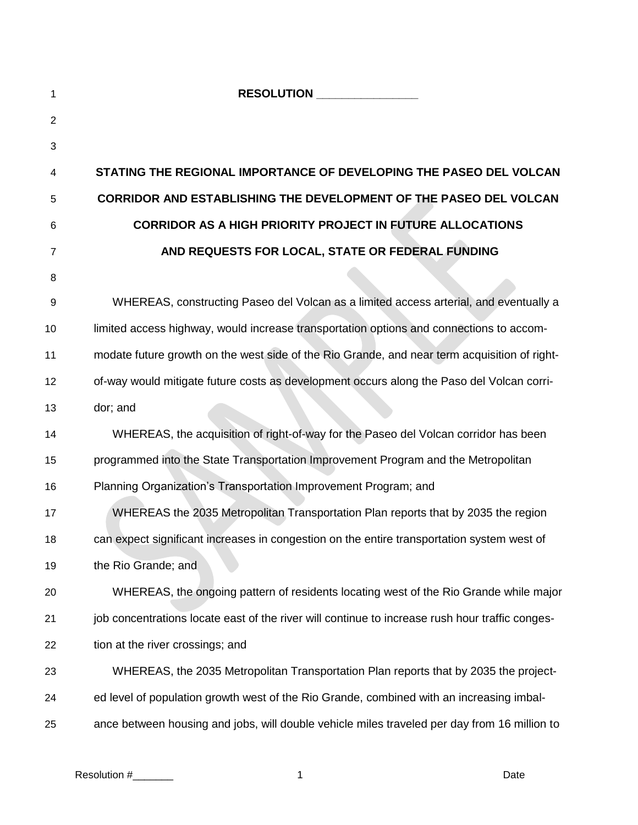| 1  | RESOLUTION NESSENTIAL                                                                           |
|----|-------------------------------------------------------------------------------------------------|
| 2  |                                                                                                 |
| 3  |                                                                                                 |
| 4  | STATING THE REGIONAL IMPORTANCE OF DEVELOPING THE PASEO DEL VOLCAN                              |
| 5  | <b>CORRIDOR AND ESTABLISHING THE DEVELOPMENT OF THE PASEO DEL VOLCAN</b>                        |
| 6  | <b>CORRIDOR AS A HIGH PRIORITY PROJECT IN FUTURE ALLOCATIONS</b>                                |
| 7  | AND REQUESTS FOR LOCAL, STATE OR FEDERAL FUNDING                                                |
| 8  |                                                                                                 |
| 9  | WHEREAS, constructing Paseo del Volcan as a limited access arterial, and eventually a           |
| 10 | limited access highway, would increase transportation options and connections to accom-         |
| 11 | modate future growth on the west side of the Rio Grande, and near term acquisition of right-    |
| 12 | of-way would mitigate future costs as development occurs along the Paso del Volcan corri-       |
| 13 | dor; and                                                                                        |
| 14 | WHEREAS, the acquisition of right-of-way for the Paseo del Volcan corridor has been             |
| 15 | programmed into the State Transportation Improvement Program and the Metropolitan               |
| 16 | Planning Organization's Transportation Improvement Program; and                                 |
| 17 | WHEREAS the 2035 Metropolitan Transportation Plan reports that by 2035 the region               |
| 18 | can expect significant increases in congestion on the entire transportation system west of      |
| 19 | the Rio Grande; and                                                                             |
| 20 | WHEREAS, the ongoing pattern of residents locating west of the Rio Grande while major           |
| 21 | job concentrations locate east of the river will continue to increase rush hour traffic conges- |
| 22 | tion at the river crossings; and                                                                |
| 23 | WHEREAS, the 2035 Metropolitan Transportation Plan reports that by 2035 the project-            |
| 24 | ed level of population growth west of the Rio Grande, combined with an increasing imbal-        |
| 25 | ance between housing and jobs, will double vehicle miles traveled per day from 16 million to    |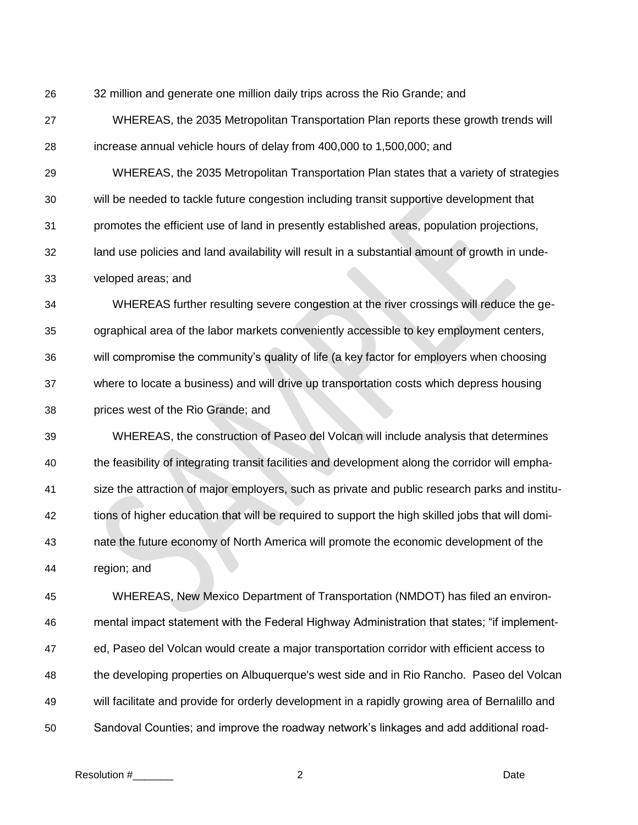32 million and generate one million daily trips across the Rio Grande; and

 WHEREAS, the 2035 Metropolitan Transportation Plan reports these growth trends will increase annual vehicle hours of delay from 400,000 to 1,500,000; and

WHEREAS, the 2035 Metropolitan Transportation Plan states that a variety of strategies

will be needed to tackle future congestion including transit supportive development that

promotes the efficient use of land in presently established areas, population projections,

land use policies and land availability will result in a substantial amount of growth in unde-

veloped areas; and

 WHEREAS further resulting severe congestion at the river crossings will reduce the ge- ographical area of the labor markets conveniently accessible to key employment centers, will compromise the community's quality of life (a key factor for employers when choosing where to locate a business) and will drive up transportation costs which depress housing prices west of the Rio Grande; and

 WHEREAS, the construction of Paseo del Volcan will include analysis that determines the feasibility of integrating transit facilities and development along the corridor will empha- size the attraction of major employers, such as private and public research parks and institu- tions of higher education that will be required to support the high skilled jobs that will domi- nate the future economy of North America will promote the economic development of the region; and

 WHEREAS, New Mexico Department of Transportation (NMDOT) has filed an environ- mental impact statement with the Federal Highway Administration that states; "if implement- ed, Paseo del Volcan would create a major transportation corridor with efficient access to the developing properties on Albuquerque's west side and in Rio Rancho. Paseo del Volcan will facilitate and provide for orderly development in a rapidly growing area of Bernalillo and Sandoval Counties; and improve the roadway network's linkages and add additional road-

Resolution #\_\_\_\_\_\_\_ 2 Date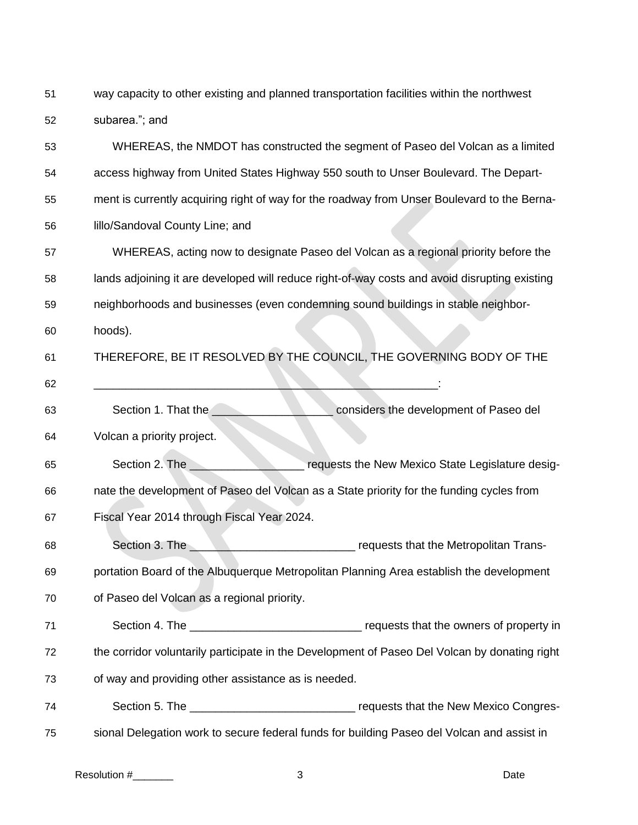way capacity to other existing and planned transportation facilities within the northwest subarea."; and

 WHEREAS, the NMDOT has constructed the segment of Paseo del Volcan as a limited access highway from United States Highway 550 south to Unser Boulevard. The Depart- ment is currently acquiring right of way for the roadway from Unser Boulevard to the Berna- lillo/Sandoval County Line; and WHEREAS, acting now to designate Paseo del Volcan as a regional priority before the lands adjoining it are developed will reduce right-of-way costs and avoid disrupting existing neighborhoods and businesses (even condemning sound buildings in stable neighbor- hoods). THEREFORE, BE IT RESOLVED BY THE COUNCIL, THE GOVERNING BODY OF THE \_\_\_\_\_\_\_\_\_\_\_\_\_\_\_\_\_\_\_\_\_\_\_\_\_\_\_\_\_\_\_\_\_\_\_\_\_\_\_\_\_\_\_\_\_\_\_\_\_\_\_\_\_\_: 63 Section 1. That the **Section 1. That is a set of Paseo del** considers the development of Paseo del Volcan a priority project. 65 Section 2. The **Section 2.** The **Section 2. The Section 2.** The Section 2. The Section 2. The Section 3. The Section 3. The Section 3. The Section 3. The Section 3. The Section 3. The Section 3. The Section 3. The Secti nate the development of Paseo del Volcan as a State priority for the funding cycles from Fiscal Year 2014 through Fiscal Year 2024. 68 Section 3. The **Section 3.** The **Section 3. The Section 3.** The Section 3. The Section 3. The Section 3. The Section of the Metropolitan Trans- portation Board of the Albuquerque Metropolitan Planning Area establish the development of Paseo del Volcan as a regional priority. 71 Section 4. The **Section 4.** The **Section 4.** The **Section 4.** The **state of the owners of property in**  the corridor voluntarily participate in the Development of Paseo Del Volcan by donating right of way and providing other assistance as is needed. 74 Section 5. The **The Congress in the Section 5. The Section 5.** The Section Section 3. The Section 3. The Section 3. The Section 3. The Section 3. The Section 3. The Section 3. The Section 3. The Section 3. The Section 3 sional Delegation work to secure federal funds for building Paseo del Volcan and assist in

Resolution #\_\_\_\_\_\_\_ 3 Date